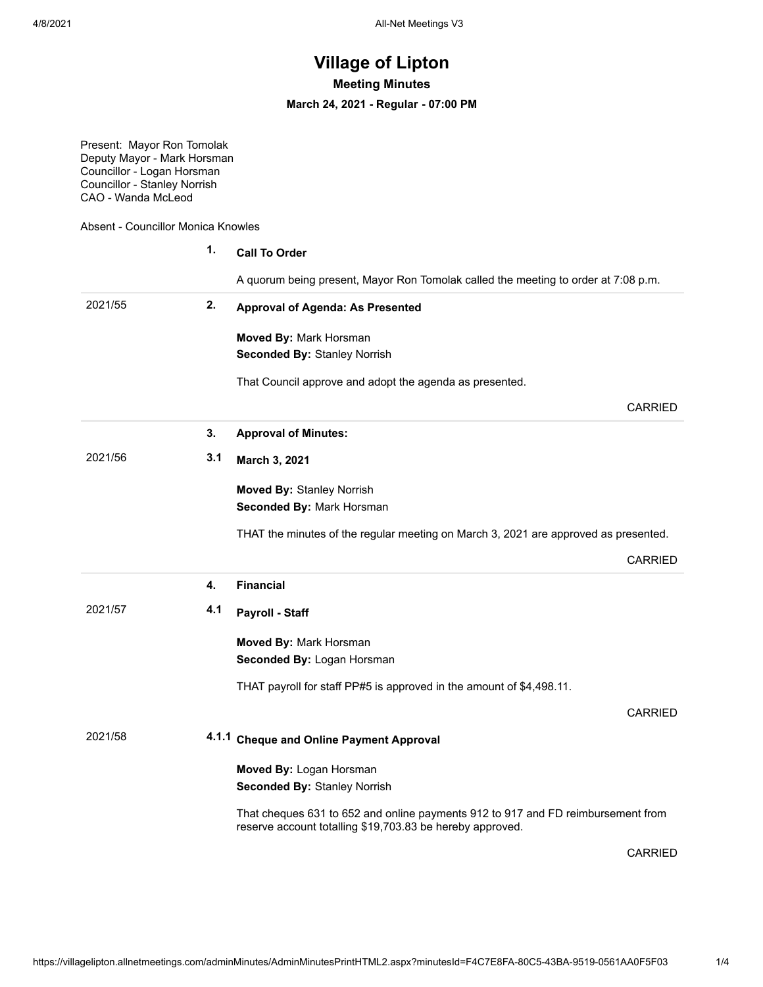## **Village of Lipton**

**Meeting Minutes**

**March 24, 2021 - Regular - 07:00 PM**

Present: Mayor Ron Tomolak Deputy Mayor - Mark Horsman Councillor - Logan Horsman Councillor - Stanley Norrish CAO - Wanda McLeod

Absent - Councillor Monica Knowles

|         | 1.  | <b>Call To Order</b>                                                                |                |
|---------|-----|-------------------------------------------------------------------------------------|----------------|
|         |     | A quorum being present, Mayor Ron Tomolak called the meeting to order at 7:08 p.m.  |                |
| 2021/55 | 2.  | <b>Approval of Agenda: As Presented</b>                                             |                |
|         |     | Moved By: Mark Horsman<br><b>Seconded By: Stanley Norrish</b>                       |                |
|         |     | That Council approve and adopt the agenda as presented.                             |                |
|         |     |                                                                                     | <b>CARRIED</b> |
|         | 3.  | <b>Approval of Minutes:</b>                                                         |                |
| 2021/56 | 3.1 | March 3, 2021                                                                       |                |
|         |     | <b>Moved By: Stanley Norrish</b><br>Seconded By: Mark Horsman                       |                |
|         |     | THAT the minutes of the regular meeting on March 3, 2021 are approved as presented. |                |
|         |     |                                                                                     | <b>CARRIED</b> |
|         |     |                                                                                     |                |
|         | 4.  | <b>Financial</b>                                                                    |                |
| 2021/57 | 4.1 | Payroll - Staff                                                                     |                |
|         |     | Moved By: Mark Horsman<br>Seconded By: Logan Horsman                                |                |
|         |     | THAT payroll for staff PP#5 is approved in the amount of \$4,498.11.                |                |
|         |     |                                                                                     | <b>CARRIED</b> |
| 2021/58 |     | 4.1.1 Cheque and Online Payment Approval                                            |                |
|         |     | Moved By: Logan Horsman<br><b>Seconded By: Stanley Norrish</b>                      |                |

CARRIED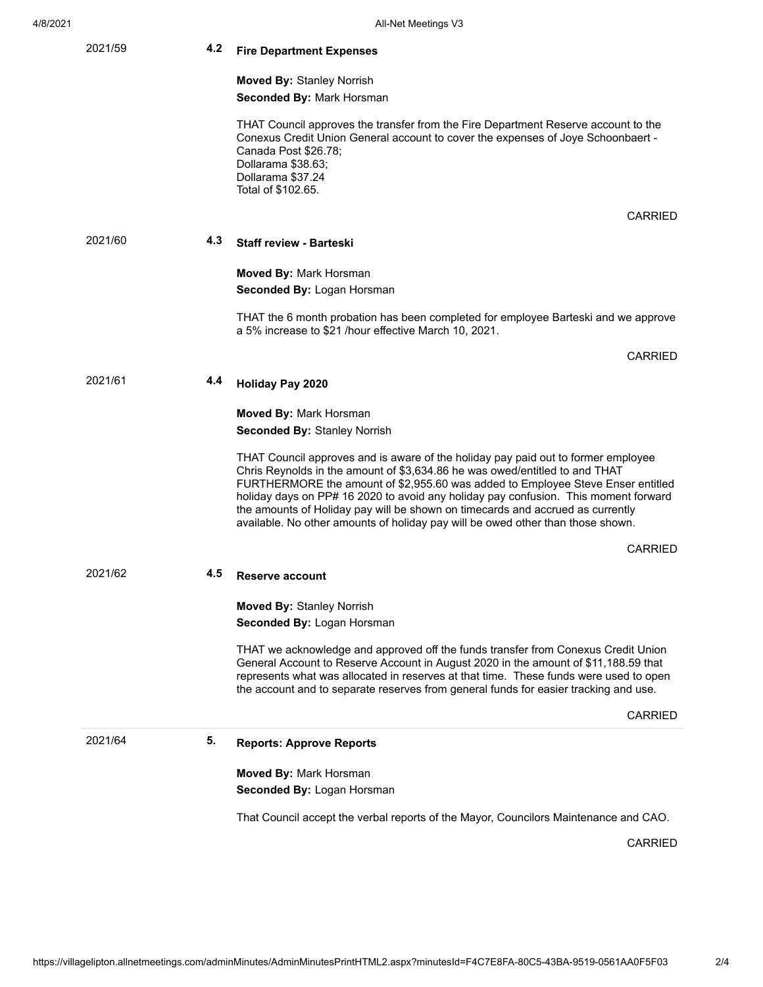| 2021/59 | 4.2 | <b>Fire Department Expenses</b>                                                                                                                                                                                                                                                                                                                                                                                                                                                                                 |
|---------|-----|-----------------------------------------------------------------------------------------------------------------------------------------------------------------------------------------------------------------------------------------------------------------------------------------------------------------------------------------------------------------------------------------------------------------------------------------------------------------------------------------------------------------|
|         |     | <b>Moved By: Stanley Norrish</b>                                                                                                                                                                                                                                                                                                                                                                                                                                                                                |
|         |     | <b>Seconded By: Mark Horsman</b>                                                                                                                                                                                                                                                                                                                                                                                                                                                                                |
|         |     | THAT Council approves the transfer from the Fire Department Reserve account to the<br>Conexus Credit Union General account to cover the expenses of Joye Schoonbaert -<br>Canada Post \$26.78;<br>Dollarama \$38.63;<br>Dollarama \$37.24<br>Total of \$102.65.                                                                                                                                                                                                                                                 |
|         |     | CARRIED                                                                                                                                                                                                                                                                                                                                                                                                                                                                                                         |
| 2021/60 | 4.3 | <b>Staff review - Barteski</b>                                                                                                                                                                                                                                                                                                                                                                                                                                                                                  |
|         |     | <b>Moved By: Mark Horsman</b>                                                                                                                                                                                                                                                                                                                                                                                                                                                                                   |
|         |     | <b>Seconded By: Logan Horsman</b>                                                                                                                                                                                                                                                                                                                                                                                                                                                                               |
|         |     | THAT the 6 month probation has been completed for employee Barteski and we approve<br>a 5% increase to \$21 /hour effective March 10, 2021.                                                                                                                                                                                                                                                                                                                                                                     |
|         |     | <b>CARRIED</b>                                                                                                                                                                                                                                                                                                                                                                                                                                                                                                  |
| 2021/61 | 4.4 | <b>Holiday Pay 2020</b>                                                                                                                                                                                                                                                                                                                                                                                                                                                                                         |
|         |     | Moved By: Mark Horsman                                                                                                                                                                                                                                                                                                                                                                                                                                                                                          |
|         |     | <b>Seconded By: Stanley Norrish</b>                                                                                                                                                                                                                                                                                                                                                                                                                                                                             |
|         |     | THAT Council approves and is aware of the holiday pay paid out to former employee<br>Chris Reynolds in the amount of \$3,634.86 he was owed/entitled to and THAT<br>FURTHERMORE the amount of \$2,955.60 was added to Employee Steve Enser entitled<br>holiday days on PP# 16 2020 to avoid any holiday pay confusion. This moment forward<br>the amounts of Holiday pay will be shown on timecards and accrued as currently<br>available. No other amounts of holiday pay will be owed other than those shown. |
|         |     | CARRIED                                                                                                                                                                                                                                                                                                                                                                                                                                                                                                         |
| 2021/62 | 4.5 | Reserve account                                                                                                                                                                                                                                                                                                                                                                                                                                                                                                 |
|         |     | <b>Moved By: Stanley Norrish</b>                                                                                                                                                                                                                                                                                                                                                                                                                                                                                |
|         |     | Seconded By: Logan Horsman                                                                                                                                                                                                                                                                                                                                                                                                                                                                                      |
|         |     | THAT we acknowledge and approved off the funds transfer from Conexus Credit Union<br>General Account to Reserve Account in August 2020 in the amount of \$11,188.59 that<br>represents what was allocated in reserves at that time. These funds were used to open<br>the account and to separate reserves from general funds for easier tracking and use.                                                                                                                                                       |
|         |     | <b>CARRIED</b>                                                                                                                                                                                                                                                                                                                                                                                                                                                                                                  |
| 2021/64 | 5.  | <b>Reports: Approve Reports</b>                                                                                                                                                                                                                                                                                                                                                                                                                                                                                 |
|         |     | Moved By: Mark Horsman                                                                                                                                                                                                                                                                                                                                                                                                                                                                                          |
|         |     | <b>Seconded By: Logan Horsman</b>                                                                                                                                                                                                                                                                                                                                                                                                                                                                               |
|         |     | That Council accept the verbal reports of the Mayor, Councilors Maintenance and CAO.                                                                                                                                                                                                                                                                                                                                                                                                                            |
|         |     | CARRIED                                                                                                                                                                                                                                                                                                                                                                                                                                                                                                         |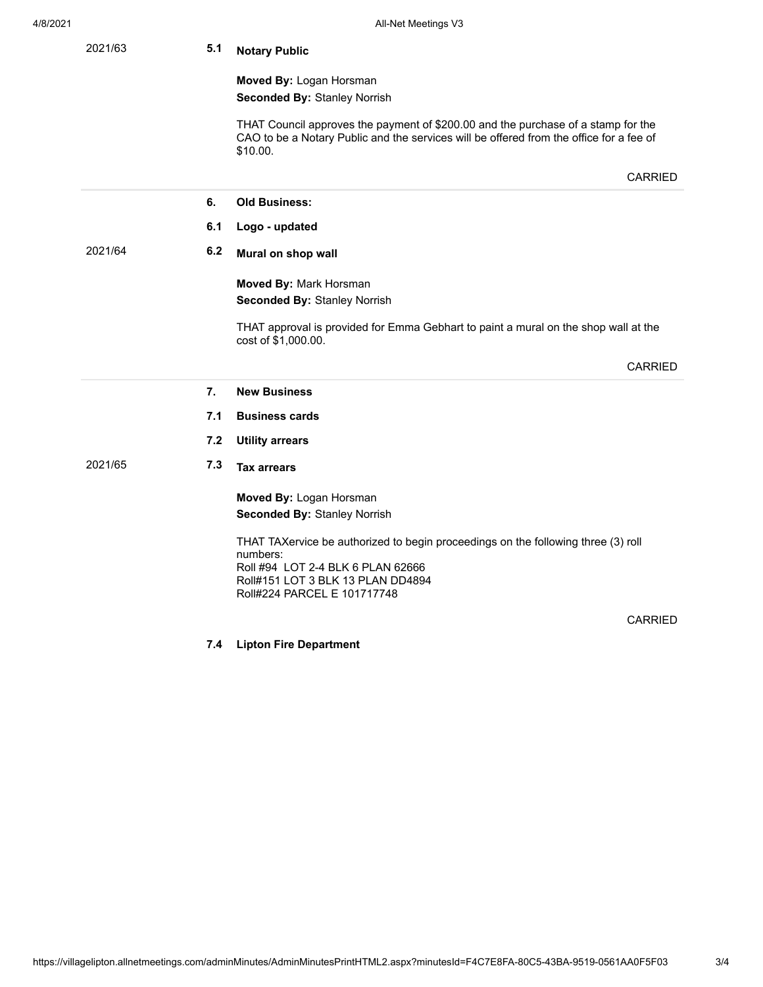| 2021/63 | 5.1 | <b>Notary Public</b>                                                                                                                                                                     |  |  |
|---------|-----|------------------------------------------------------------------------------------------------------------------------------------------------------------------------------------------|--|--|
|         |     | Moved By: Logan Horsman<br><b>Seconded By: Stanley Norrish</b>                                                                                                                           |  |  |
|         |     | THAT Council approves the payment of \$200.00 and the purchase of a stamp for the<br>CAO to be a Notary Public and the services will be offered from the office for a fee of<br>\$10.00. |  |  |
|         |     | <b>CARRIED</b>                                                                                                                                                                           |  |  |
|         | 6.  | <b>Old Business:</b>                                                                                                                                                                     |  |  |
|         | 6.1 | Logo - updated                                                                                                                                                                           |  |  |
| 2021/64 | 6.2 | Mural on shop wall                                                                                                                                                                       |  |  |
|         |     | Moved By: Mark Horsman                                                                                                                                                                   |  |  |
|         |     | <b>Seconded By: Stanley Norrish</b>                                                                                                                                                      |  |  |
|         |     | THAT approval is provided for Emma Gebhart to paint a mural on the shop wall at the<br>cost of \$1,000.00.                                                                               |  |  |
|         |     |                                                                                                                                                                                          |  |  |
|         |     | <b>CARRIED</b>                                                                                                                                                                           |  |  |
|         | 7.  | <b>New Business</b>                                                                                                                                                                      |  |  |
|         | 7.1 | <b>Business cards</b>                                                                                                                                                                    |  |  |
|         | 7.2 | <b>Utility arrears</b>                                                                                                                                                                   |  |  |
| 2021/65 | 7.3 | <b>Tax arrears</b>                                                                                                                                                                       |  |  |
|         |     | Moved By: Logan Horsman                                                                                                                                                                  |  |  |
|         |     | <b>Seconded By: Stanley Norrish</b>                                                                                                                                                      |  |  |
|         |     | THAT TAXervice be authorized to begin proceedings on the following three (3) roll<br>numbers:<br>Roll #94 LOT 2-4 BLK 6 PLAN 62666<br>Roll#151 LOT 3 BLK 13 PLAN DD4894                  |  |  |
|         |     | Roll#224 PARCEL E 101717748                                                                                                                                                              |  |  |
|         |     | <b>CARRIED</b>                                                                                                                                                                           |  |  |